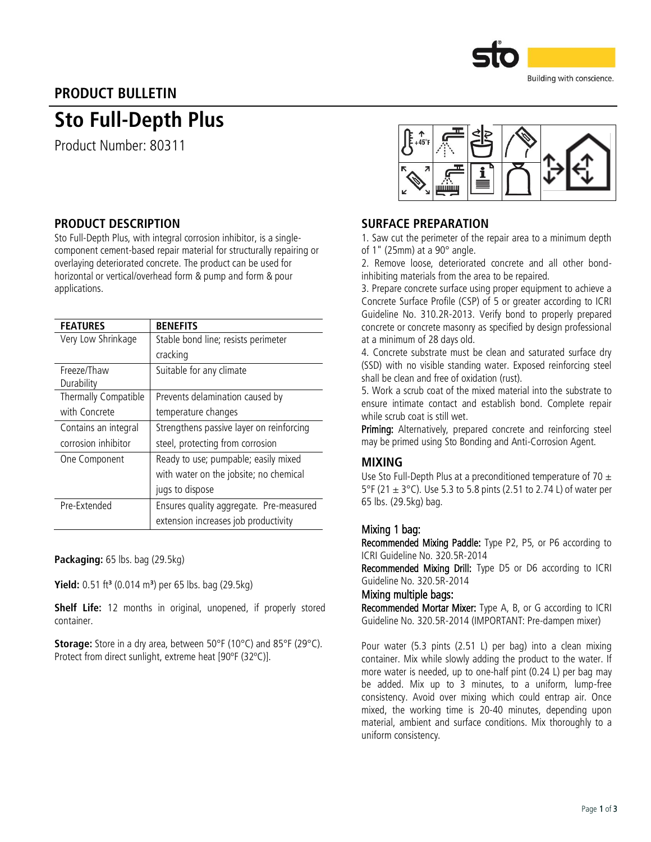

# PRODUCT BULLETIN

# Sto Full-Depth Plus

Product Number: 80311

## PRODUCT DESCRIPTION

Sto Full-Depth Plus, with integral corrosion inhibitor, is a singlecomponent cement-based repair material for structurally repairing or overlaying deteriorated concrete. The product can be used for horizontal or vertical/overhead form & pump and form & pour applications.

| <b>FEATURES</b>      | <b>BENEFITS</b>                          |  |  |
|----------------------|------------------------------------------|--|--|
| Very Low Shrinkage   | Stable bond line; resists perimeter      |  |  |
|                      | cracking                                 |  |  |
| Freeze/Thaw          | Suitable for any climate                 |  |  |
| Durability           |                                          |  |  |
| Thermally Compatible | Prevents delamination caused by          |  |  |
| with Concrete        | temperature changes                      |  |  |
| Contains an integral | Strengthens passive layer on reinforcing |  |  |
| corrosion inhibitor  | steel, protecting from corrosion         |  |  |
| One Component        | Ready to use; pumpable; easily mixed     |  |  |
|                      | with water on the jobsite; no chemical   |  |  |
|                      | jugs to dispose                          |  |  |
| Pre-Extended         | Ensures quality aggregate. Pre-measured  |  |  |
|                      | extension increases job productivity     |  |  |

Packaging: 65 lbs. bag (29.5kg)

Yield: 0.51 ft<sup>3</sup> (0.014 m<sup>3</sup>) per 65 lbs. bag (29.5kg)

Shelf Life: 12 months in original, unopened, if properly stored container.

Storage: Store in a dry area, between 50°F (10°C) and 85°F (29°C). Protect from direct sunlight, extreme heat [90ºF (32ºC)].



## SURFACE PREPARATION

1. Saw cut the perimeter of the repair area to a minimum depth of 1" (25mm) at a 90° angle.

2. Remove loose, deteriorated concrete and all other bondinhibiting materials from the area to be repaired.

3. Prepare concrete surface using proper equipment to achieve a Concrete Surface Profile (CSP) of 5 or greater according to ICRI Guideline No. 310.2R-2013. Verify bond to properly prepared concrete or concrete masonry as specified by design professional at a minimum of 28 days old.

4. Concrete substrate must be clean and saturated surface dry (SSD) with no visible standing water. Exposed reinforcing steel shall be clean and free of oxidation (rust).

5. Work a scrub coat of the mixed material into the substrate to ensure intimate contact and establish bond. Complete repair while scrub coat is still wet.

Priming: Alternatively, prepared concrete and reinforcing steel may be primed using Sto Bonding and Anti-Corrosion Agent.

### MIXING

Use Sto Full-Depth Plus at a preconditioned temperature of 70  $\pm$ 5°F (21  $\pm$  3°C). Use 5.3 to 5.8 pints (2.51 to 2.74 L) of water per 65 lbs. (29.5kg) bag.

### Mixing 1 bag:

Recommended Mixing Paddle: Type P2, P5, or P6 according to ICRI Guideline No. 320.5R-2014

Recommended Mixing Drill: Type D5 or D6 according to ICRI Guideline No. 320.5R-2014

#### Mixing multiple bags:

Recommended Mortar Mixer: Type A, B, or G according to ICRI Guideline No. 320.5R-2014 (IMPORTANT: Pre-dampen mixer)

Pour water (5.3 pints (2.51 L) per bag) into a clean mixing container. Mix while slowly adding the product to the water. If more water is needed, up to one-half pint (0.24 L) per bag may be added. Mix up to 3 minutes, to a uniform, lump-free consistency. Avoid over mixing which could entrap air. Once mixed, the working time is 20-40 minutes, depending upon material, ambient and surface conditions. Mix thoroughly to a uniform consistency.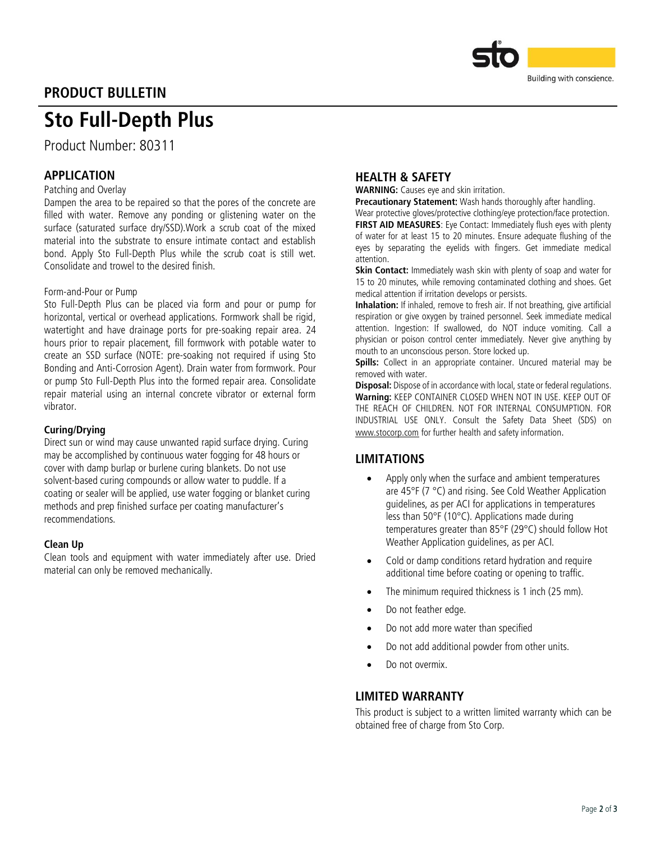

# PRODUCT BULLETIN

# Sto Full-Depth Plus

Product Number: 80311

# APPLICATION

#### Patching and Overlay

Dampen the area to be repaired so that the pores of the concrete are filled with water. Remove any ponding or glistening water on the surface (saturated surface dry/SSD).Work a scrub coat of the mixed material into the substrate to ensure intimate contact and establish bond. Apply Sto Full-Depth Plus while the scrub coat is still wet. Consolidate and trowel to the desired finish.

#### Form-and-Pour or Pump

Sto Full-Depth Plus can be placed via form and pour or pump for horizontal, vertical or overhead applications. Formwork shall be rigid, watertight and have drainage ports for pre-soaking repair area. 24 hours prior to repair placement, fill formwork with potable water to create an SSD surface (NOTE: pre-soaking not required if using Sto Bonding and Anti-Corrosion Agent). Drain water from formwork. Pour or pump Sto Full-Depth Plus into the formed repair area. Consolidate repair material using an internal concrete vibrator or external form vibrator.

#### Curing/Drying

Direct sun or wind may cause unwanted rapid surface drying. Curing may be accomplished by continuous water fogging for 48 hours or cover with damp burlap or burlene curing blankets. Do not use solvent-based curing compounds or allow water to puddle. If a coating or sealer will be applied, use water fogging or blanket curing methods and prep finished surface per coating manufacturer's recommendations.

#### Clean Up

Clean tools and equipment with water immediately after use. Dried material can only be removed mechanically.

### HEALTH & SAFETY

WARNING: Causes eye and skin irritation.

Precautionary Statement: Wash hands thoroughly after handling.

Wear protective gloves/protective clothing/eye protection/face protection.

**FIRST AID MEASURES:** Eve Contact: Immediately flush eves with plenty of water for at least 15 to 20 minutes. Ensure adequate flushing of the eyes by separating the eyelids with fingers. Get immediate medical attention.

Skin Contact: Immediately wash skin with plenty of soap and water for 15 to 20 minutes, while removing contaminated clothing and shoes. Get medical attention if irritation develops or persists.

Inhalation: If inhaled, remove to fresh air. If not breathing, give artificial respiration or give oxygen by trained personnel. Seek immediate medical attention. Ingestion: If swallowed, do NOT induce vomiting. Call a physician or poison control center immediately. Never give anything by mouth to an unconscious person. Store locked up.

Spills: Collect in an appropriate container. Uncured material may be removed with water.

**Disposal:** Dispose of in accordance with local, state or federal regulations. Warning: KEEP CONTAINER CLOSED WHEN NOT IN USE. KEEP OUT OF THE REACH OF CHILDREN. NOT FOR INTERNAL CONSUMPTION. FOR INDUSTRIAL USE ONLY. Consult the Safety Data Sheet (SDS) on [www.stocorp.com](http://www.stocorp.com/) for further health and safety information.

### LIMITATIONS

- Apply only when the surface and ambient temperatures are 45°F (7 °C) and rising. See Cold Weather Application guidelines, as per ACI for applications in temperatures less than 50°F (10°C). Applications made during temperatures greater than 85°F (29°C) should follow Hot Weather Application guidelines, as per ACI.
- Cold or damp conditions retard hydration and require additional time before coating or opening to traffic.
- The minimum required thickness is 1 inch (25 mm).
- Do not feather edge.
- Do not add more water than specified
- Do not add additional powder from other units.
- Do not overmix.

#### LIMITED WARRANTY

This product is subject to a written limited warranty which can be obtained free of charge from Sto Corp.